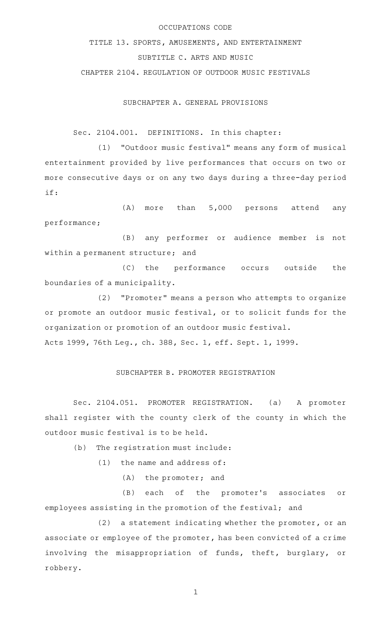## OCCUPATIONS CODE

TITLE 13. SPORTS, AMUSEMENTS, AND ENTERTAINMENT SUBTITLE C. ARTS AND MUSIC

CHAPTER 2104. REGULATION OF OUTDOOR MUSIC FESTIVALS

SUBCHAPTER A. GENERAL PROVISIONS

Sec. 2104.001. DEFINITIONS. In this chapter:

(1) "Outdoor music festival" means any form of musical entertainment provided by live performances that occurs on two or more consecutive days or on any two days during a three-day period if:

 $(A)$  more than  $5,000$  persons attend any performance;

(B) any performer or audience member is not within a permanent structure; and

(C) the performance occurs outside the boundaries of a municipality.

(2) "Promoter" means a person who attempts to organize or promote an outdoor music festival, or to solicit funds for the organization or promotion of an outdoor music festival. Acts 1999, 76th Leg., ch. 388, Sec. 1, eff. Sept. 1, 1999.

## SUBCHAPTER B. PROMOTER REGISTRATION

Sec. 2104.051. PROMOTER REGISTRATION. (a) A promoter shall register with the county clerk of the county in which the outdoor music festival is to be held.

 $(b)$  The registration must include:

 $(1)$  the name and address of:

 $(A)$  the promoter; and

(B) each of the promoter's associates or employees assisting in the promotion of the festival; and

 $(2)$  a statement indicating whether the promoter, or an associate or employee of the promoter, has been convicted of a crime involving the misappropriation of funds, theft, burglary, or robbery.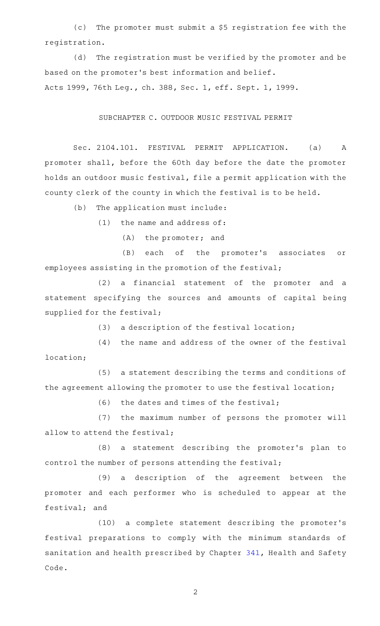(c) The promoter must submit a \$5 registration fee with the registration.

(d) The registration must be verified by the promoter and be based on the promoter 's best information and belief.

Acts 1999, 76th Leg., ch. 388, Sec. 1, eff. Sept. 1, 1999.

## SUBCHAPTER C. OUTDOOR MUSIC FESTIVAL PERMIT

Sec. 2104.101. FESTIVAL PERMIT APPLICATION. (a) A promoter shall, before the 60th day before the date the promoter holds an outdoor music festival, file a permit application with the county clerk of the county in which the festival is to be held.

 $(b)$  The application must include:

 $(1)$  the name and address of:

 $(A)$  the promoter; and

(B) each of the promoter's associates or employees assisting in the promotion of the festival;

(2) a financial statement of the promoter and a statement specifying the sources and amounts of capital being supplied for the festival;

 $(3)$  a description of the festival location;

(4) the name and address of the owner of the festival location;

(5) a statement describing the terms and conditions of the agreement allowing the promoter to use the festival location;

 $(6)$  the dates and times of the festival;

(7) the maximum number of persons the promoter will allow to attend the festival;

(8) a statement describing the promoter's plan to control the number of persons attending the festival;

(9) a description of the agreement between the promoter and each performer who is scheduled to appear at the festival; and

(10) a complete statement describing the promoter's festival preparations to comply with the minimum standards of sanitation and health prescribed by Chapter [341,](http://www.statutes.legis.state.tx.us/GetStatute.aspx?Code=HS&Value=341) Health and Safety Code.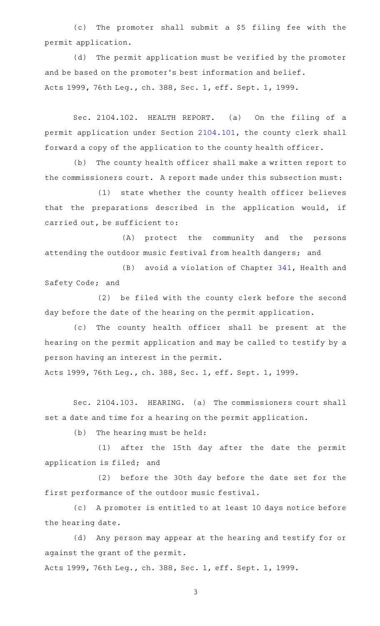(c) The promoter shall submit a \$5 filing fee with the permit application.

(d) The permit application must be verified by the promoter and be based on the promoter 's best information and belief. Acts 1999, 76th Leg., ch. 388, Sec. 1, eff. Sept. 1, 1999.

Sec. 2104.102. HEALTH REPORT. (a) On the filing of a permit application under Section [2104.101](http://www.statutes.legis.state.tx.us/GetStatute.aspx?Code=OC&Value=2104.101), the county clerk shall forward a copy of the application to the county health officer.

(b) The county health officer shall make a written report to the commissioners court. A report made under this subsection must:

(1) state whether the county health officer believes that the preparations described in the application would, if carried out, be sufficient to:

(A) protect the community and the persons attending the outdoor music festival from health dangers; and

(B) avoid a violation of Chapter [341,](http://www.statutes.legis.state.tx.us/GetStatute.aspx?Code=HS&Value=341) Health and Safety Code; and

(2) be filed with the county clerk before the second day before the date of the hearing on the permit application.

(c) The county health officer shall be present at the hearing on the permit application and may be called to testify by a person having an interest in the permit.

Acts 1999, 76th Leg., ch. 388, Sec. 1, eff. Sept. 1, 1999.

Sec. 2104.103. HEARING. (a) The commissioners court shall set a date and time for a hearing on the permit application.

(b) The hearing must be held:

(1) after the 15th day after the date the permit application is filed; and

(2) before the 30th day before the date set for the first performance of the outdoor music festival.

(c) A promoter is entitled to at least 10 days notice before the hearing date.

(d) Any person may appear at the hearing and testify for or against the grant of the permit.

Acts 1999, 76th Leg., ch. 388, Sec. 1, eff. Sept. 1, 1999.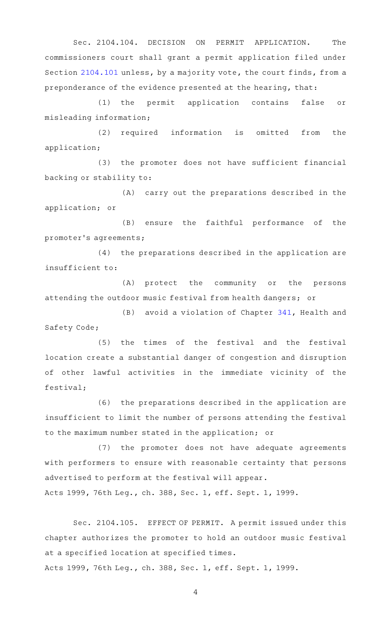Sec. 2104.104. DECISION ON PERMIT APPLICATION. The commissioners court shall grant a permit application filed under Section [2104.101](http://www.statutes.legis.state.tx.us/GetStatute.aspx?Code=OC&Value=2104.101) unless, by a majority vote, the court finds, from a preponderance of the evidence presented at the hearing, that:

(1) the permit application contains false or misleading information;

(2) required information is omitted from the application;

(3) the promoter does not have sufficient financial backing or stability to:

(A) carry out the preparations described in the application; or

(B) ensure the faithful performance of the promoter 's agreements;

(4) the preparations described in the application are insufficient to:

(A) protect the community or the persons attending the outdoor music festival from health dangers; or

 $(B)$  avoid a violation of Chapter [341,](http://www.statutes.legis.state.tx.us/GetStatute.aspx?Code=HS&Value=341) Health and Safety Code;

(5) the times of the festival and the festival location create a substantial danger of congestion and disruption of other lawful activities in the immediate vicinity of the festival;

(6) the preparations described in the application are insufficient to limit the number of persons attending the festival to the maximum number stated in the application; or

(7) the promoter does not have adequate agreements with performers to ensure with reasonable certainty that persons advertised to perform at the festival will appear.

Acts 1999, 76th Leg., ch. 388, Sec. 1, eff. Sept. 1, 1999.

Sec. 2104.105. EFFECT OF PERMIT. A permit issued under this chapter authorizes the promoter to hold an outdoor music festival at a specified location at specified times.

Acts 1999, 76th Leg., ch. 388, Sec. 1, eff. Sept. 1, 1999.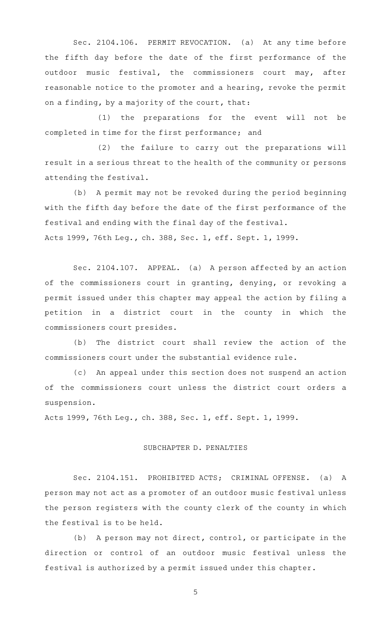Sec. 2104.106. PERMIT REVOCATION. (a) At any time before the fifth day before the date of the first performance of the outdoor music festival, the commissioners court may, after reasonable notice to the promoter and a hearing, revoke the permit on a finding, by a majority of the court, that:

(1) the preparations for the event will not be completed in time for the first performance; and

(2) the failure to carry out the preparations will result in a serious threat to the health of the community or persons attending the festival.

(b) A permit may not be revoked during the period beginning with the fifth day before the date of the first performance of the festival and ending with the final day of the festival. Acts 1999, 76th Leg., ch. 388, Sec. 1, eff. Sept. 1, 1999.

Sec. 2104.107. APPEAL. (a) A person affected by an action of the commissioners court in granting, denying, or revoking a permit issued under this chapter may appeal the action by filing a petition in a district court in the county in which the commissioners court presides.

(b) The district court shall review the action of the commissioners court under the substantial evidence rule.

(c) An appeal under this section does not suspend an action of the commissioners court unless the district court orders a suspension.

Acts 1999, 76th Leg., ch. 388, Sec. 1, eff. Sept. 1, 1999.

## SUBCHAPTER D. PENALTIES

Sec. 2104.151. PROHIBITED ACTS; CRIMINAL OFFENSE. (a) A person may not act as a promoter of an outdoor music festival unless the person registers with the county clerk of the county in which the festival is to be held.

 $(b)$  A person may not direct, control, or participate in the direction or control of an outdoor music festival unless the festival is authorized by a permit issued under this chapter.